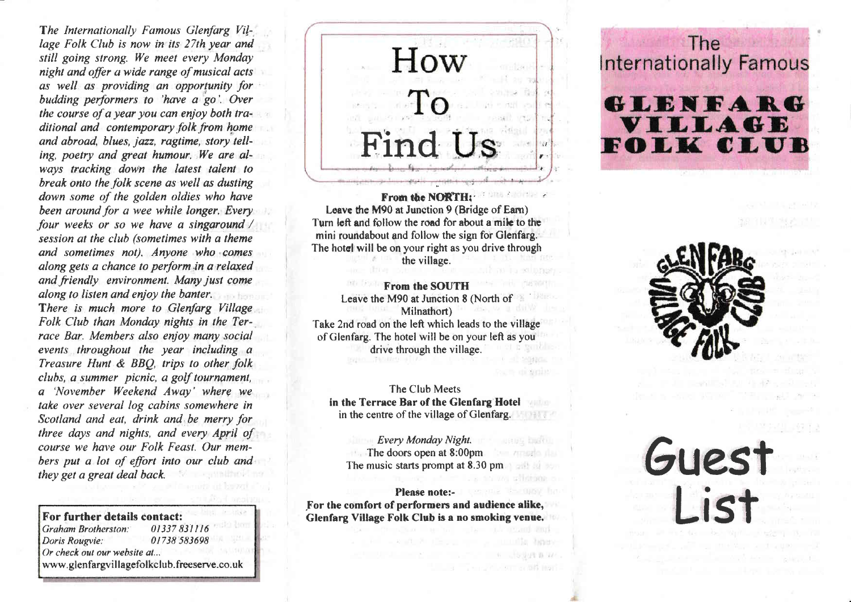The Internationally Famous Glenfarg Village Folk Club is now in its 27th year and still going strong. We meet every Monday night and offer a wide range of musical acts as well as providing an opportunity for budding performers to 'have a go'. Over the course of a year you can enjoy both traditional and contemporary folk from home and abroad, blues, jazz, ragtime, story telling, poetry and greot humour, We are always tracking down the latest talent to break onto the folk scene as well as dusting down some of the golden oldies who have been around for a wee while longer. Every four weeks or so we have a singaround / session at the club (sometimes with a theme and sometimes not). Anyone who comes alang gets a chance to perform.in a relaxed and friendly environment. Many just come along to listen and enjoy the banter. There is much more to Glenfarg Village Folk Club than Monday nights in the Terrace Bar. Members also enjoy many social events throughout the year including a Treasure Hunt & BBQ, trips to other folk clubs, a summer picnic, a golf tournament, a 'November Weekend Away' wherg we take over several log cabins somewhere in Scotland and eal, drink and.be merry for three days and nights, and every April of course we have our Folk Feast. Our members put a lot of effort into our club and they get a great deal back.

Graham Brotherston: Doris Rougvie: 01738 583698 Or check out our website at... www. glenfargv il lagefolkclub.freeserve.co. uk

How Find i! t' I

From the NORTH: Leave the M90 at Junction 9 (Bridge of Eam) Turn left and follow the road for about a milc to the mini roundabout and follow the sign for Glenfarg. The hotel will be on your right as you drive through the village.

From the SOUTH Leave the M90 at Junction 8 (North of Milnathort)<br>Take 2nd road on the left which leads to the village of Glenfarg. The hotel will be on your left as you drive through the village.

The Club Meets in the Terrace Bar of the Glenfarg Hotel in the centre of the village of Glenfarg.

Every Monday Night. The doors open at 8:00pm The music starts prompt at 8.30 pm

Please note:- For the comfort of performers and audience alike, For further details contact:<br>Glenfarg Village Folk Club is a no smoking venue.<br>Graham Brotherston: 01337 831116

The **Internationally Famous** 

# GLENFARG VILLAGE OLK CLUB

Guest

l ict